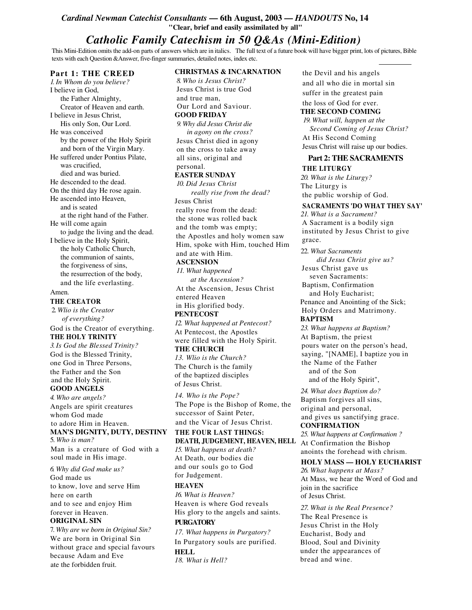## *Cardinal Newman Catechist Consultants* **— 6th August, 2003 —** *HANDOUTS* **No, 14 "Clear, brief and easily assimilated by all"**

# *Catholic Family Catechism in 50 Q&As (Mini-Edition)*

This Mini-Edition omits the add-on parts of answers which are in italics. The full text of a future book will have bigger print, lots of pictures, Bible texts with each Question &Answer, five-finger summaries, detailed notes, index etc.

**CHRISTMAS & INCARNATION**

#### **Part 1: THE CREED**

*1.In Whom do you believe?* I believe in God, the Father Almighty, Creator of Heaven and earth. I believe in Jesus Christ, His only Son, Our Lord. He was conceived by the power of the Holy Spirit and born of the Virgin Mary. He suffered under Pontius Pilate, was crucified, died and was buried. He descended to the dead. On the third day He rose again. He ascended into Heaven, and is seated at the right hand of the Father. He will come again to judge the living and the dead. I believe in the Holy Spirit, the holy Catholic Church, the communion of saints, the forgiveness of sins, the resurrection of the body, and the life everlasting. Amen.

#### **THE CREATOR**

2. *Wlio is the Creator of everything?*

God is the Creator of everything. **THE HOLY TRINITY**

*3.Is God the Blessed Trinity?* God is the Blessed Trinity, one God in Three Persons, the Father and the Son and the Holy Spirit.

### **GOOD ANGELS**

*4. Who are angels?* Angels are spirit creatures whom God made to adore Him in Heaven. **MAN'S DIGNITY, DUTY, DESTINY** 5. *Who is man?*

Man is a creature of God with a soul made in His image.

*6. Why did God make us?* God made us to know, love and serve Him here on earth and to see and enjoy Him forever in Heaven. **ORIGINAL SIN**

7. *Why are we born in Original Sin?* We are born in Original Sin without grace and special favours because Adam and Eve ate the forbidden fruit.

*8. Who is Jesus Christ?* Jesus Christ is true God and true man, Our Lord and Saviour. **GOOD FRIDAY** *9. Why did Jesus Christ die in agony on the cross?* Jesus Christ died in agony on the cross to take away all sins, original and personal. **EASTER SUNDAY** *10. Did Jesus Christ really rise from the dead?* Jesus Christ really rose from the dead: the stone was rolled back and the tomb was empty; the Apostles and holy women saw Him, spoke with Him, touched Him and ate with Him.

# **ASCENSION**

*11. What happened at the Ascension?* At the Ascension, Jesus Christ entered Heaven in His glorified body.

**PENTECOST**

*12. What happened at Pentecost?* At Pentecost, the Apostles were filled with the Holy Spirit. **THE CHURCH**

*13. Wlio is the Church?* The Church is the family of the baptized disciples of Jesus Christ.

*14. Who is the Pope?* The Pope is the Bishop of Rome, the successor of Saint Peter, and the Vicar of Jesus Christ.

**THE FOUR LAST THINGS: DEATH, JUDGEMENT, HEAVEN, HELL** *15. What happens at death?* At Death, our bodies die and our souls go to God for Judgement.

#### **HEAVEN**

*16. What is Heaven?* Heaven is where God reveals His glory to the angels and saints. **PURGATORY**

*17. What happens in Purgatory?* In Purgatory souls are purified. **HELL** *18. What is Hell?*

the Devil and his angels and all who die in mortal sin suffer in the greatest pain the loss of God for ever. **THE SECOND COMING**

*19. What will, happen at the Second Coming of Jesus Christ?* At His Second Coming Jesus Christ will raise up our bodies.

## **Part 2: THE SACRAMENTS THE LITURGY**

*20. What is the Liturgy?* The Liturgy is the public worship of God.

### **SACRAMENTS 'DO WHAT THEY SAY'**

*21. What is a Sacrament?* A Sacrament is a bodily sign instituted by Jesus Christ to give grace.

22. *What Sacraments did Jesus Christ give us?* Jesus Christ gave us seven Sacraments: Baptism, Confirmation and Holy Eucharist; Penance and Anointing of the Sick; Holy Orders and Matrimony. **BAPTISM** *23. What happens at Baptism?* At Baptism, the priest pours water on the person's head, saying, "[NAME], I baptize you in the Name of the Father and of the Son and of the Holy Spirit",

*24. What does Baptism do?* Baptism forgives all sins, original and personal, and gives us sanctifying grace. **CONFIRMATION** *25. What happens at Confirmation ?*

At Confirmation the Bishop anoints the forehead with chrism.

## **HOLY MASS — HOLY EUCHARIST**

*26. What happens at Mass?* At Mass, we hear the Word of God and join in the sacrifice of Jesus Christ.

*27. What is the Real Presence?* The Real Presence is Jesus Christ in the Holy Eucharist, Body and Blood, Soul and Divinity under the appearances of bread and wine.